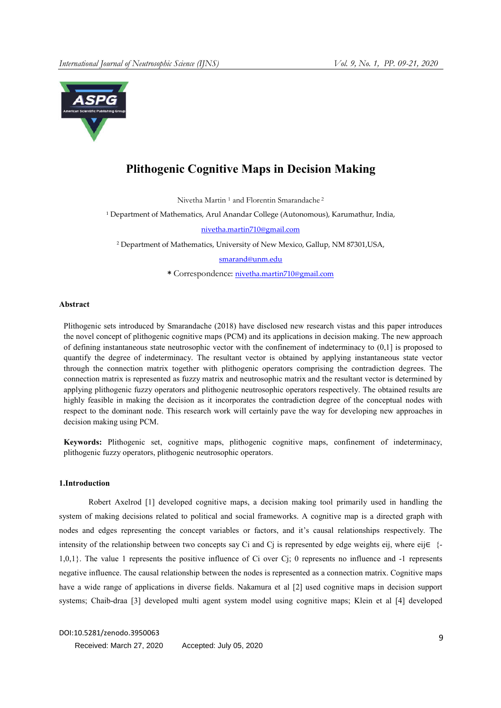

# Plithogenic Cognitive Maps in Decision Making

Nivetha Martin 1 and Florentin Smarandache <sup>2</sup>

<sup>1</sup> Department of Mathematics, Arul Anandar College (Autonomous), Karumathur, India,

nivetha.martin710@gmail.com

<sup>2</sup> Department of Mathematics, University of New Mexico, Gallup, NM 87301,USA,

smarand@unm.edu

\* Correspondence: nivetha.martin710@gmail.com

### Abstract

Plithogenic sets introduced by Smarandache (2018) have disclosed new research vistas and this paper introduces the novel concept of plithogenic cognitive maps (PCM) and its applications in decision making. The new approach of defining instantaneous state neutrosophic vector with the confinement of indeterminacy to (0,1] is proposed to quantify the degree of indeterminacy. The resultant vector is obtained by applying instantaneous state vector through the connection matrix together with plithogenic operators comprising the contradiction degrees. The connection matrix is represented as fuzzy matrix and neutrosophic matrix and the resultant vector is determined by applying plithogenic fuzzy operators and plithogenic neutrosophic operators respectively. The obtained results are highly feasible in making the decision as it incorporates the contradiction degree of the conceptual nodes with respect to the dominant node. This research work will certainly pave the way for developing new approaches in decision making using PCM.

Keywords: Plithogenic set, cognitive maps, plithogenic cognitive maps, confinement of indeterminacy, plithogenic fuzzy operators, plithogenic neutrosophic operators.

#### 1.Introduction

Robert Axelrod [1] developed cognitive maps, a decision making tool primarily used in handling the system of making decisions related to political and social frameworks. A cognitive map is a directed graph with nodes and edges representing the concept variables or factors, and it's causal relationships respectively. The intensity of the relationship between two concepts say Ci and Cj is represented by edge weights eij, where eij∈  $\{-\}$ 1,0,1}. The value 1 represents the positive influence of Ci over Cj; 0 represents no influence and -1 represents negative influence. The causal relationship between the nodes is represented as a connection matrix. Cognitive maps have a wide range of applications in diverse fields. Nakamura et al [2] used cognitive maps in decision support systems; Chaib-draa [3] developed multi agent system model using cognitive maps; Klein et al [4] developed

DOI:10.5281/zenodo.3950063 <sup>9</sup> Received: March 27, 2020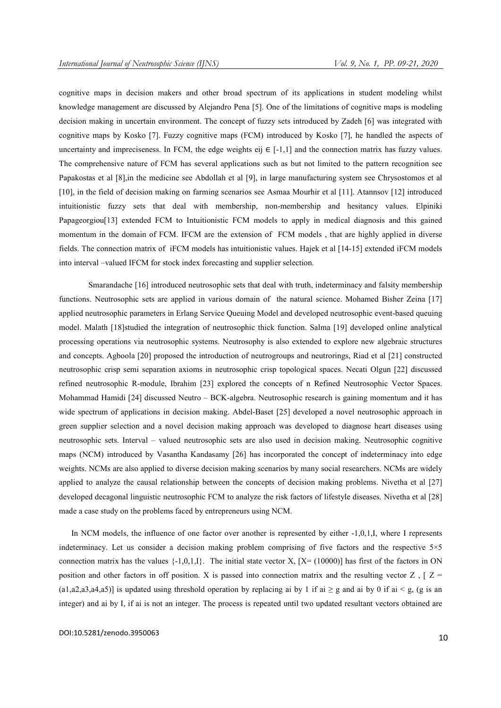cognitive maps in decision makers and other broad spectrum of its applications in student modeling whilst knowledge management are discussed by Alejandro Pena [5]. One of the limitations of cognitive maps is modeling decision making in uncertain environment. The concept of fuzzy sets introduced by Zadeh [6] was integrated with cognitive maps by Kosko [7]. Fuzzy cognitive maps (FCM) introduced by Kosko [7], he handled the aspects of uncertainty and impreciseness. In FCM, the edge weights eij  $\in$  [-1,1] and the connection matrix has fuzzy values. The comprehensive nature of FCM has several applications such as but not limited to the pattern recognition see Papakostas et al [8],in the medicine see Abdollah et al [9], in large manufacturing system see Chrysostomos et al [10], in the field of decision making on farming scenarios see Asmaa Mourhir et al [11]. Atannsov [12] introduced intuitionistic fuzzy sets that deal with membership, non-membership and hesitancy values. Elpiniki Papageorgiou<sup>[13]</sup> extended FCM to Intuitionistic FCM models to apply in medical diagnosis and this gained momentum in the domain of FCM. IFCM are the extension of FCM models , that are highly applied in diverse fields. The connection matrix of iFCM models has intuitionistic values. Hajek et al [14-15] extended iFCM models into interval –valued IFCM for stock index forecasting and supplier selection.

Smarandache [16] introduced neutrosophic sets that deal with truth, indeterminacy and falsity membership functions. Neutrosophic sets are applied in various domain of the natural science. Mohamed Bisher Zeina [17] applied neutrosophic parameters in Erlang Service Queuing Model and developed neutrosophic event-based queuing model. Malath [18]studied the integration of neutrosophic thick function. Salma [19] developed online analytical processing operations via neutrosophic systems. Neutrosophy is also extended to explore new algebraic structures and concepts. Agboola [20] proposed the introduction of neutrogroups and neutrorings, Riad et al [21] constructed neutrosophic crisp semi separation axioms in neutrosophic crisp topological spaces. Necati Olgun [22] discussed refined neutrosophic R-module, Ibrahim [23] explored the concepts of n Refined Neutrosophic Vector Spaces. Mohammad Hamidi [24] discussed Neutro – BCK-algebra. Neutrosophic research is gaining momentum and it has wide spectrum of applications in decision making. Abdel-Baset [25] developed a novel neutrosophic approach in green supplier selection and a novel decision making approach was developed to diagnose heart diseases using neutrosophic sets. Interval – valued neutrosophic sets are also used in decision making. Neutrosophic cognitive maps (NCM) introduced by Vasantha Kandasamy [26] has incorporated the concept of indeterminacy into edge weights. NCMs are also applied to diverse decision making scenarios by many social researchers. NCMs are widely applied to analyze the causal relationship between the concepts of decision making problems. Nivetha et al [27] developed decagonal linguistic neutrosophic FCM to analyze the risk factors of lifestyle diseases. Nivetha et al [28] made a case study on the problems faced by entrepreneurs using NCM.

In NCM models, the influence of one factor over another is represented by either  $-1,0,1,I$ , where I represents indeterminacy. Let us consider a decision making problem comprising of five factors and the respective 5×5 connection matrix has the values  $\{-1,0,1,\}$ . The initial state vector X,  $[X=(10000)]$  has first of the factors in ON position and other factors in off position. X is passed into connection matrix and the resulting vector Z,  $Z =$ (a1,a2,a3,a4,a5)] is updated using threshold operation by replacing ai by 1 if ai  $\geq$  g and ai by 0 if ai  $\lt g$ , (g is an integer) and ai by I, if ai is not an integer. The process is repeated until two updated resultant vectors obtained are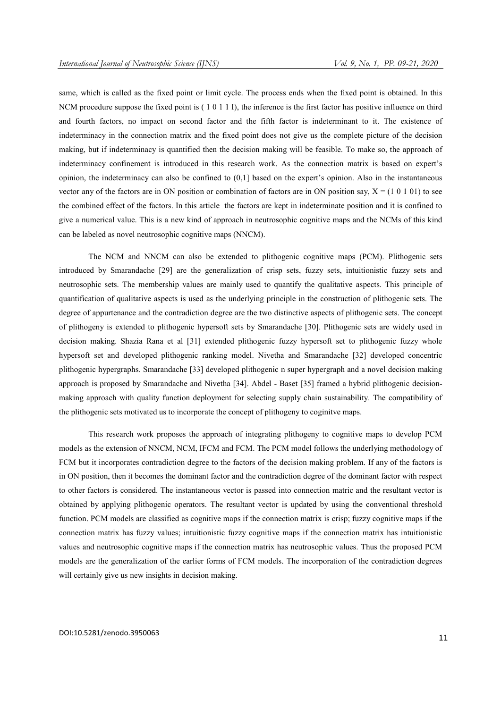same, which is called as the fixed point or limit cycle. The process ends when the fixed point is obtained. In this NCM procedure suppose the fixed point is  $(10111)$ , the inference is the first factor has positive influence on third and fourth factors, no impact on second factor and the fifth factor is indeterminant to it. The existence of indeterminacy in the connection matrix and the fixed point does not give us the complete picture of the decision making, but if indeterminacy is quantified then the decision making will be feasible. To make so, the approach of indeterminacy confinement is introduced in this research work. As the connection matrix is based on expert's opinion, the indeterminacy can also be confined to (0,1] based on the expert's opinion. Also in the instantaneous vector any of the factors are in ON position or combination of factors are in ON position say,  $X = (1\ 0\ 1\ 01)$  to see the combined effect of the factors. In this article the factors are kept in indeterminate position and it is confined to give a numerical value. This is a new kind of approach in neutrosophic cognitive maps and the NCMs of this kind can be labeled as novel neutrosophic cognitive maps (NNCM).

The NCM and NNCM can also be extended to plithogenic cognitive maps (PCM). Plithogenic sets introduced by Smarandache [29] are the generalization of crisp sets, fuzzy sets, intuitionistic fuzzy sets and neutrosophic sets. The membership values are mainly used to quantify the qualitative aspects. This principle of quantification of qualitative aspects is used as the underlying principle in the construction of plithogenic sets. The degree of appurtenance and the contradiction degree are the two distinctive aspects of plithogenic sets. The concept of plithogeny is extended to plithogenic hypersoft sets by Smarandache [30]. Plithogenic sets are widely used in decision making. Shazia Rana et al [31] extended plithogenic fuzzy hypersoft set to plithogenic fuzzy whole hypersoft set and developed plithogenic ranking model. Nivetha and Smarandache [32] developed concentric plithogenic hypergraphs. Smarandache [33] developed plithogenic n super hypergraph and a novel decision making approach is proposed by Smarandache and Nivetha [34]. Abdel - Baset [35] framed a hybrid plithogenic decisionmaking approach with quality function deployment for selecting supply chain sustainability. The compatibility of the plithogenic sets motivated us to incorporate the concept of plithogeny to coginitve maps.

This research work proposes the approach of integrating plithogeny to cognitive maps to develop PCM models as the extension of NNCM, NCM, IFCM and FCM. The PCM model follows the underlying methodology of FCM but it incorporates contradiction degree to the factors of the decision making problem. If any of the factors is in ON position, then it becomes the dominant factor and the contradiction degree of the dominant factor with respect to other factors is considered. The instantaneous vector is passed into connection matric and the resultant vector is obtained by applying plithogenic operators. The resultant vector is updated by using the conventional threshold function. PCM models are classified as cognitive maps if the connection matrix is crisp; fuzzy cognitive maps if the connection matrix has fuzzy values; intuitionistic fuzzy cognitive maps if the connection matrix has intuitionistic values and neutrosophic cognitive maps if the connection matrix has neutrosophic values. Thus the proposed PCM models are the generalization of the earlier forms of FCM models. The incorporation of the contradiction degrees will certainly give us new insights in decision making.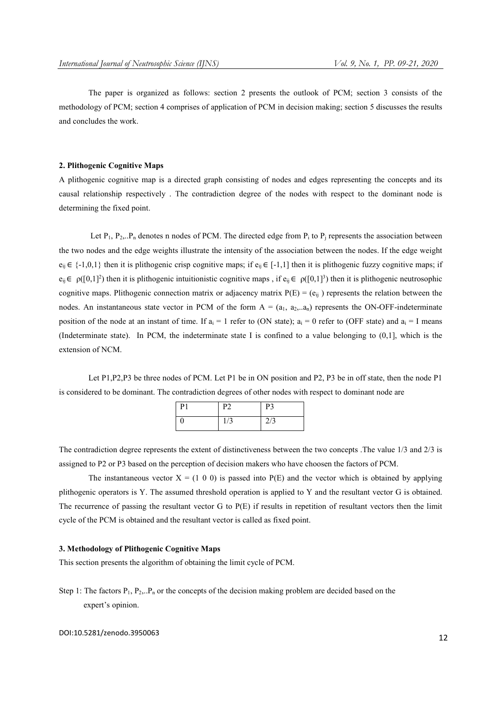The paper is organized as follows: section 2 presents the outlook of PCM; section 3 consists of the methodology of PCM; section 4 comprises of application of PCM in decision making; section 5 discusses the results and concludes the work.

### 2. Plithogenic Cognitive Maps

A plithogenic cognitive map is a directed graph consisting of nodes and edges representing the concepts and its causal relationship respectively . The contradiction degree of the nodes with respect to the dominant node is determining the fixed point.

Let  $P_1$ ,  $P_2$ ... $P_n$  denotes n nodes of PCM. The directed edge from  $P_i$  to  $P_i$  represents the association between the two nodes and the edge weights illustrate the intensity of the association between the nodes. If the edge weight  $e_{ii} \in \{-1,0,1\}$  then it is plithogenic crisp cognitive maps; if  $e_{ii} \in [-1,1]$  then it is plithogenic fuzzy cognitive maps; if  $e_{ij} \in \rho([0,1]^2)$  then it is plithogenic intuitionistic cognitive maps, if  $e_{ij} \in \rho([0,1]^3)$  then it is plithogenic neutrosophic cognitive maps. Plithogenic connection matrix or adjacency matrix  $P(E) = (e_{ii})$  represents the relation between the nodes. An instantaneous state vector in PCM of the form  $A = (a_1, a_2, a_n)$  represents the ON-OFF-indeterminate position of the node at an instant of time. If  $a_i = 1$  refer to (ON state);  $a_i = 0$  refer to (OFF state) and  $a_i = I$  means (Indeterminate state). In PCM, the indeterminate state I is confined to a value belonging to (0,1], which is the extension of NCM.

Let P1,P2,P3 be three nodes of PCM. Let P1 be in ON position and P2, P3 be in off state, then the node P1 is considered to be dominant. The contradiction degrees of other nodes with respect to dominant node are

| P <sub>1</sub> | P <sub>2</sub> | P3               |
|----------------|----------------|------------------|
|                | 1/3            | $\overline{2/3}$ |

The contradiction degree represents the extent of distinctiveness between the two concepts .The value 1/3 and 2/3 is assigned to P2 or P3 based on the perception of decision makers who have choosen the factors of PCM.

The instantaneous vector  $X = (1\ 0\ 0)$  is passed into  $P(E)$  and the vector which is obtained by applying plithogenic operators is Y. The assumed threshold operation is applied to Y and the resultant vector G is obtained. The recurrence of passing the resultant vector G to P(E) if results in repetition of resultant vectors then the limit cycle of the PCM is obtained and the resultant vector is called as fixed point.

### 3. Methodology of Plithogenic Cognitive Maps

This section presents the algorithm of obtaining the limit cycle of PCM.

Step 1: The factors  $P_1$ ,  $P_2$ ,  $P_n$  or the concepts of the decision making problem are decided based on the expert's opinion.

DOI:10.5281/zenodo.3950063 <sup>12</sup>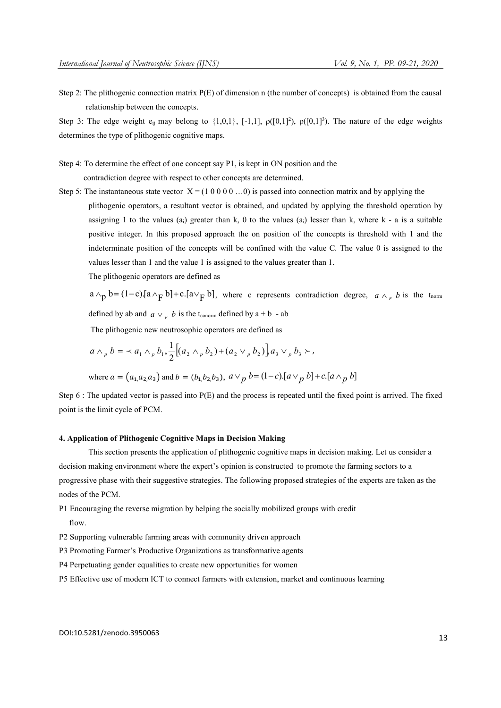Step 2: The plithogenic connection matrix P(E) of dimension n (the number of concepts) is obtained from the causal relationship between the concepts.

Step 3: The edge weight  $e_{ij}$  may belong to  $\{1,0,1\}$ ,  $[-1,1]$ ,  $\rho([0,1]^2)$ ,  $\rho([0,1]^3)$ . The nature of the edge weights determines the type of plithogenic cognitive maps.

- Step 4: To determine the effect of one concept say P1, is kept in ON position and the contradiction degree with respect to other concepts are determined.
- Step 5: The instantaneous state vector  $X = (1\ 0\ 0\ 0\ 0\ ...)$  is passed into connection matrix and by applying the plithogenic operators, a resultant vector is obtained, and updated by applying the threshold operation by assigning 1 to the values (a) greater than k, 0 to the values (a) lesser than k, where k - a is a suitable positive integer. In this proposed approach the on position of the concepts is threshold with 1 and the indeterminate position of the concepts will be confined with the value C. The value 0 is assigned to the values lesser than 1 and the value 1 is assigned to the values greater than 1.

The plithogenic operators are defined as

 $a \wedge_p b = (1-c) [a \wedge_p b] + c [a \vee_p b]$ , where c represents contradiction degree,  $a \wedge_p b$  is the t<sub>norm</sub> defined by ab and  $a \vee_{F} b$  is the t<sub>conorm</sub> defined by  $a + b - ab$ 

The plithogenic new neutrosophic operators are defined as

$$
a \wedge_p b = \langle a_1 \wedge_p b_1, \frac{1}{2} [(a_2 \wedge_p b_2) + (a_2 \vee_p b_2)] a_3 \vee_p b_3 \rangle,
$$

where 
$$
a = (a_{1}, a_{2}, a_{3})
$$
 and  $b = (b_{1}, b_{2}, b_{3})$ ,  $a \vee p b = (1-c)\cdot[a \vee p b] + c \cdot[a \wedge p b]$ 

Step 6 : The updated vector is passed into P(E) and the process is repeated until the fixed point is arrived. The fixed point is the limit cycle of PCM.

## 4. Application of Plithogenic Cognitive Maps in Decision Making

This section presents the application of plithogenic cognitive maps in decision making. Let us consider a decision making environment where the expert's opinion is constructed to promote the farming sectors to a progressive phase with their suggestive strategies. The following proposed strategies of the experts are taken as the nodes of the PCM.

P1 Encouraging the reverse migration by helping the socially mobilized groups with credit flow

- P2 Supporting vulnerable farming areas with community driven approach
- P3 Promoting Farmer's Productive Organizations as transformative agents
- P4 Perpetuating gender equalities to create new opportunities for women
- P5 Effective use of modern ICT to connect farmers with extension, market and continuous learning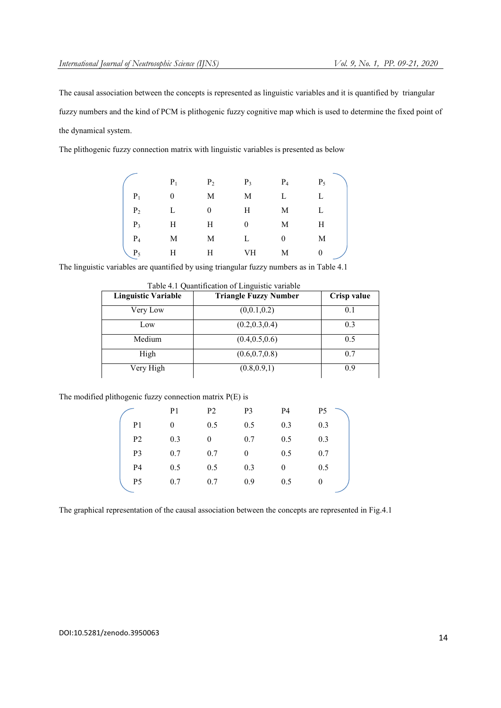The causal association between the concepts is represented as linguistic variables and it is quantified by triangular fuzzy numbers and the kind of PCM is plithogenic fuzzy cognitive map which is used to determine the fixed point of the dynamical system.

The plithogenic fuzzy connection matrix with linguistic variables is presented as below

|                | $P_1$    | P <sub>2</sub> | $P_3$       | $P_4$            | $P_5$ |
|----------------|----------|----------------|-------------|------------------|-------|
| $P_1$          | $\theta$ | М              | $\mathbf M$ |                  |       |
| P <sub>2</sub> |          | $\mathbf{0}$   | Η           | M                |       |
| $P_3$          | Η        | Н              | 0           | М                | Н     |
| P <sub>4</sub> | M        | М              |             | $\boldsymbol{0}$ | М     |
| $P_5$          | Н        | Н              | VH          | M                | 0     |

The linguistic variables are quantified by using triangular fuzzy numbers as in Table 4.1

| <b>Linguistic Variable</b> | <b>Triangle Fuzzy Number</b> | Crisp value |
|----------------------------|------------------------------|-------------|
| Very Low                   | (0,0.1,0.2)                  | 0.1         |
| Low                        | (0.2, 0.3, 0.4)              | 0.3         |
| Medium                     | (0.4, 0.5, 0.6)              | 0.5         |
| High                       | (0.6, 0.7, 0.8)              | 0.7         |
| Very High                  | (0.8, 0.9, 1)                | 0.9         |

Table 4.1 Quantification of Linguistic variable

The modified plithogenic fuzzy connection matrix P(E) is

|                | P1  | P <sub>2</sub> | P <sub>3</sub> | P <sub>4</sub> | P5  |
|----------------|-----|----------------|----------------|----------------|-----|
| P <sub>1</sub> | 0   | 0.5            | 0.5            | 0.3            | 0.3 |
| P <sub>2</sub> | 0.3 | $\overline{0}$ | 0.7            | 0.5            | 0.3 |
| P <sub>3</sub> | 0.7 | 0.7            | $\theta$       | 0.5            | 0.7 |
| <b>P4</b>      | 0.5 | 0.5            | 0.3            | $\theta$       | 0.5 |
| P <sub>5</sub> | 0.7 | 0.7            | 0.9            | 0.5            | 0   |
|                |     |                |                |                |     |

The graphical representation of the causal association between the concepts are represented in Fig.4.1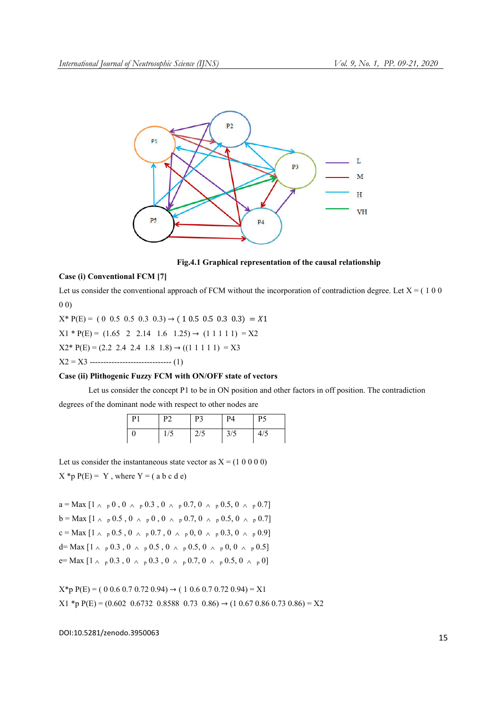

# Fig.4.1 Graphical representation of the causal relationship

# Case (i) Conventional FCM [7]

Let us consider the conventional approach of FCM without the incorporation of contradiction degree. Let  $X = (1000)$ 0 0)

 $X^* P(E) = (0 \t0.5 \t0.5 \t0.3 \t0.3) \rightarrow (1 \t0.5 \t0.5 \t0.3 \t0.3) = X1$  $X1 * P(E) = (1.65 \t2 \t2.14 \t1.6 \t1.25) \rightarrow (1 \t1 \t1 \t1) = X2$  $X2^*$  P(E) = (2.2 2.4 2.4 1.8 1.8)  $\rightarrow$  ((1 1 1 1 1) = X3 X2 = X3 ------------------------------ (1)

# Case (ii) Plithogenic Fuzzy FCM with ON/OFF state of vectors

Let us consider the concept P1 to be in ON position and other factors in off position. The contradiction

degrees of the dominant node with respect to other nodes are

| D <sub>1</sub> | D <sub>2</sub> | D <sub>2</sub> | P <sub>4</sub> | D5   |
|----------------|----------------|----------------|----------------|------|
|                | 1 / J          | 2/5            | 3/5            | ر ہو |

Let us consider the instantaneous state vector as  $X = (1 0 0 0 0)$ 

 $X * p P(E) = Y$ , where  $Y = (a b c d e)$ 

 $a = \text{Max}$   $[1 \text{ A} \cdot p 0, 0 \text{ A} \cdot p 0.3, 0 \text{ A} \cdot p 0.7, 0 \text{ A} \cdot p 0.5, 0 \text{ A} \cdot p 0.7]$  $b = Max [1 \nightharpoonup p 0.5, 0 \nightharpoonup p 0, 0 \nightharpoonup p 0.7, 0 \nightharpoonup p 0.5, 0 \nightharpoonup p 0.7]$  $c = \text{Max} \left[ 1_{\text{A}} \text{ p } 0.5 \right], 0_{\text{A}} \text{ p } 0.7 \right], 0_{\text{A}} \text{ p } 0.0 \text{ A} \text{ p } 0.3 \right], 0_{\text{A}} \text{ p } 0.9$  $d=$  Max  $[1 \tbinom{p}{0.3}, 0 \tbinom{p}{0.5}, 0 \tbinom{p}{0.5}, 0 \tbinom{p}{0.9}, 0 \tbinom{p}{0.5}]$  $e=$  Max  $[1 \tbinom{p}{0.3}, 0 \tbinom{p}{0.3}, 0 \tbinom{p}{0.7}, 0 \tbinom{p}{0.5}, 0 \tbinom{p}{0.9}]$ 

 $X^*p$  P(E) = ( 0 0.6 0.7 0.72 0.94)  $\rightarrow$  ( 1 0.6 0.7 0.72 0.94) = X1  $X1 * p P(E) = (0.602 \ 0.6732 \ 0.8588 \ 0.73 \ 0.86) \rightarrow (1 \ 0.67 \ 0.86 \ 0.73 \ 0.86) = X2$ 

DOI:10.5281/zenodo.3950063 <sup>15</sup>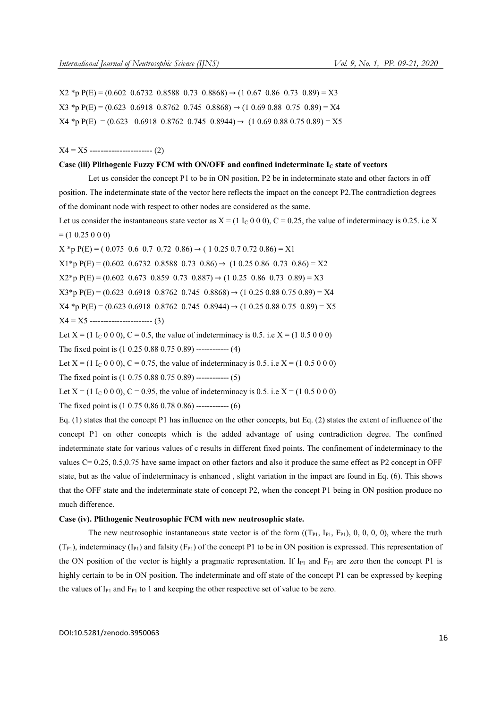$X2 * p$  P(E) = (0.602 0.6732 0.8588 0.73 0.8868)  $\rightarrow$  (1 0.67 0.86 0.73 0.89) = X3  $X3 *p P(E) = (0.623 \ 0.6918 \ 0.8762 \ 0.745 \ 0.8868) \rightarrow (1 \ 0.69 \ 0.88 \ 0.75 \ 0.89) = X4$  $X4 * p$  P(E) = (0.623 0.6918 0.8762 0.745 0.8944)  $\rightarrow$  (1 0.69 0.88 0.75 0.89) = X5

 $X4 = X5$  ------------------------- (2)

#### Case (iii) Plithogenic Fuzzy FCM with ON/OFF and confined indeterminate  $I_c$  state of vectors

Let us consider the concept P1 to be in ON position, P2 be in indeterminate state and other factors in off position. The indeterminate state of the vector here reflects the impact on the concept P2.The contradiction degrees of the dominant node with respect to other nodes are considered as the same.

Let us consider the instantaneous state vector as  $X = (1 \text{ I}_C 0 0 0)$ ,  $C = 0.25$ , the value of indeterminacy is 0.25. i.e X  $= (1 \ 0.25 \ 0 \ 0 \ 0)$ 

 $X * p P(E) = (0.075 \ 0.6 \ 0.7 \ 0.72 \ 0.86) \rightarrow (1 \ 0.25 \ 0.7 \ 0.72 \ 0.86) = X1$  $X1^*p P(E) = (0.602 \t0.6732 \t0.8588 \t0.73 \t0.86) \rightarrow (1 \t0.25 \t0.86 \t0.73 \t0.86) = X2$  $X2^*p P(E) = (0.602 \ 0.673 \ 0.859 \ 0.73 \ 0.887) \rightarrow (1 \ 0.25 \ 0.86 \ 0.73 \ 0.89) = X3$  $X3*_{D} P(E) = (0.623, 0.6918, 0.8762, 0.745, 0.8868) \rightarrow (1, 0.25, 0.88, 0.75, 0.89) = X4$  $X4 * p$  P(E) = (0.623 0.6918 0.8762 0.745 0.8944)  $\rightarrow$  (1 0.25 0.88 0.75 0.89) = X5  $X4 = X5$  -------------------------- (3) Let  $X = (1 \text{ I}_C 0 0 0)$ ,  $C = 0.5$ , the value of indeterminacy is 0.5. i.e  $X = (1 \text{ } 0.5 \text{ } 0 0 0)$ The fixed point is (1 0.25 0.88 0.75 0.89) ------------ (4) Let  $X = (1 I_C 0 0 0)$ ,  $C = 0.75$ , the value of indeterminacy is 0.5. i.e  $X = (1 0.5 0 0 0)$ 

The fixed point is (1 0.75 0.88 0.75 0.89) ------------ (5)

Let  $X = (1 I_C 0 0 0)$ ,  $C = 0.95$ , the value of indeterminacy is 0.5. i.e  $X = (1 0.5 0 0 0)$ 

The fixed point is (1 0.75 0.86 0.78 0.86) ------------ (6)

Eq. (1) states that the concept P1 has influence on the other concepts, but Eq. (2) states the extent of influence of the concept P1 on other concepts which is the added advantage of using contradiction degree. The confined indeterminate state for various values of c results in different fixed points. The confinement of indeterminacy to the values C= 0.25, 0.5,0.75 have same impact on other factors and also it produce the same effect as P2 concept in OFF state, but as the value of indeterminacy is enhanced , slight variation in the impact are found in Eq. (6). This shows that the OFF state and the indeterminate state of concept P2, when the concept P1 being in ON position produce no much difference.

#### Case (iv). Plithogenic Neutrosophic FCM with new neutrosophic state.

The new neutrosophic instantaneous state vector is of the form  $((T_{P1}, I_{P1}, F_{P1}), 0, 0, 0, 0)$ , where the truth  $(T_{P1})$ , indeterminacy  $(I_{P1})$  and falsity  $(F_{P1})$  of the concept P1 to be in ON position is expressed. This representation of the ON position of the vector is highly a pragmatic representation. If  $I_{P1}$  and  $F_{P1}$  are zero then the concept P1 is highly certain to be in ON position. The indeterminate and off state of the concept P1 can be expressed by keeping the values of  $I_{P1}$  and  $F_{P1}$  to 1 and keeping the other respective set of value to be zero.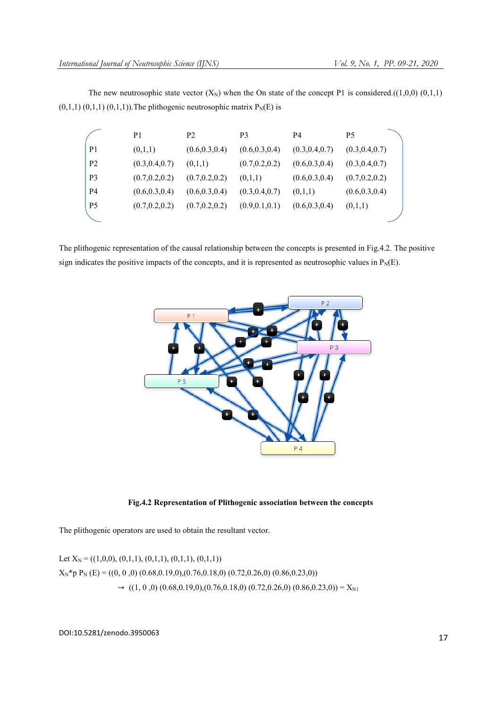The new neutrosophic state vector  $(X_N)$  when the On state of the concept P1 is considered.((1,0,0) (0,1,1)  $(0,1,1)$   $(0,1,1)$   $(0,1,1)$ ). The plithogenic neutrosophic matrix  $P_N(E)$  is

|                | P <sub>1</sub>  | P <sub>2</sub>  | P <sub>3</sub>  | P <sub>4</sub>  | <b>P5</b>       |
|----------------|-----------------|-----------------|-----------------|-----------------|-----------------|
| P <sub>1</sub> | (0,1,1)         | (0.6, 0.3, 0.4) | (0.6, 0.3, 0.4) | (0.3, 0.4, 0.7) | (0.3, 0.4, 0.7) |
| P <sub>2</sub> | (0.3, 0.4, 0.7) | (0,1,1)         | (0.7, 0.2, 0.2) | (0.6, 0.3, 0.4) | (0.3, 0.4, 0.7) |
| P <sub>3</sub> | (0.7, 0.2, 0.2) | (0.7, 0.2, 0.2) | (0,1,1)         | (0.6, 0.3, 0.4) | (0.7, 0.2, 0.2) |
| <b>P4</b>      | (0.6, 0.3, 0.4) | (0.6, 0.3, 0.4) | (0.3, 0.4, 0.7) | (0,1,1)         | (0.6, 0.3, 0.4) |
| P <sub>5</sub> | (0.7, 0.2, 0.2) | (0.7, 0.2, 0.2) | (0.9, 0.1, 0.1) | (0.6, 0.3, 0.4) | (0,1,1)         |
|                |                 |                 |                 |                 |                 |

The plithogenic representation of the causal relationship between the concepts is presented in Fig.4.2. The positive sign indicates the positive impacts of the concepts, and it is represented as neutrosophic values in  $P_N(E)$ .



Fig.4.2 Representation of Plithogenic association between the concepts

The plithogenic operators are used to obtain the resultant vector.

Let  $X_N = ((1,0,0), (0,1,1), (0,1,1), (0,1,1), (0,1,1))$  $X_N^*p P_N (E) = ((0, 0, 0, 0, 0.68, 0.19, 0), (0.76, 0.18, 0, 0.72, 0.26, 0, 0.86, 0.23, 0))$  $\rightarrow$  ((1, 0,0) (0.68,0.19,0),(0.76,0.18,0) (0.72,0.26,0) (0.86,0.23,0)) = X<sub>N1</sub>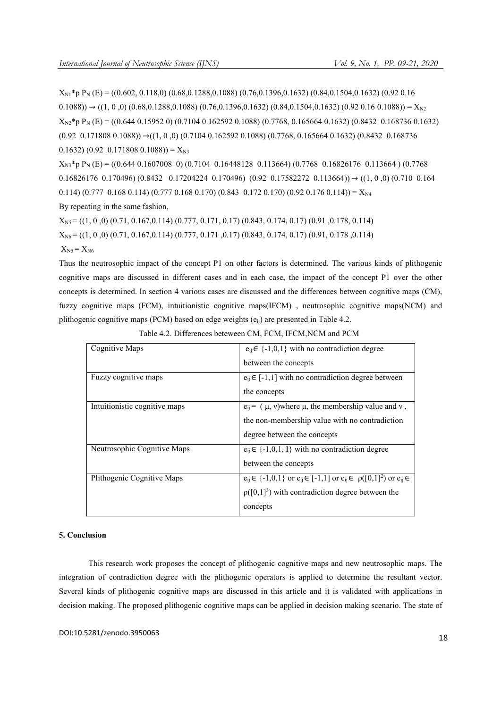$X_{N1}$ \*p P<sub>N</sub> (E) = ((0.602, 0.118,0) (0.68,0.1288,0.1088) (0.76,0.1396,0.1632) (0.84,0.1504,0.1632) (0.92 0.16  $(0.1088)$   $\rightarrow$   $((1, 0, 0)$   $(0.68, 0.1288, 0.1088)$   $(0.76, 0.1396, 0.1632)$   $(0.84, 0.1504, 0.1632)$   $(0.92, 0.16, 0.1088)$   $=$  X<sub>N2</sub> XN2\*p PN (E) = ((0.644 0.15952 0) (0.7104 0.162592 0.1088) (0.7768, 0.165664 0.1632) (0.8432 0.168736 0.1632)  $(0.92 \t0.171808 \t0.1088)) \rightarrow ((1, 0, 0) (0.7104 \t0.162592 \t0.1088) (0.7768, 0.165664 \t0.1632) (0.8432 \t0.168736$ 0.1632) (0.92 0.171808 0.1088)) =  $X_{N3}$ 

 $X_{N3}$ \*p P<sub>N</sub> (E) = ((0.644 0.1607008 0) (0.7104 0.16448128 0.113664) (0.7768 0.16826176 0.113664) (0.7768 0.16826176 0.170496) (0.8432 0.17204224 0.170496) (0.92 0.17582272 0.113664))  $\rightarrow$  ((1, 0,0) (0.710 0.164 0.114)  $(0.777 \t0.168 \t0.114) (0.777 \t0.168 \t0.170) (0.843 \t0.172 \t0.170) (0.92 \t0.176 \t0.114)) = X_{N4}$ By repeating in the same fashion,

 $X_{NS} = ((1, 0, 0), (0.71, 0.167, 0.114), (0.777, 0.171, 0.17), (0.843, 0.174, 0.17), (0.91, 0.178, 0.114))$  $X_{N6} = ((1, 0, 0), (0.71, 0.167, 0.114), (0.777, 0.171, 0.17), (0.843, 0.174, 0.17), (0.91, 0.178, 0.114))$  $X_{N5} = X_{N6}$ 

Thus the neutrosophic impact of the concept P1 on other factors is determined. The various kinds of plithogenic cognitive maps are discussed in different cases and in each case, the impact of the concept P1 over the other concepts is determined. In section 4 various cases are discussed and the differences between cognitive maps (CM), fuzzy cognitive maps (FCM), intuitionistic cognitive maps(IFCM) , neutrosophic cognitive maps(NCM) and plithogenic cognitive maps (PCM) based on edge weights  $(e_{ii})$  are presented in Table 4.2.

| Cognitive Maps                | $e_{ij} \in \{-1,0,1\}$ with no contradiction degree                                         |
|-------------------------------|----------------------------------------------------------------------------------------------|
|                               | between the concepts                                                                         |
| Fuzzy cognitive maps          | $e_{ij} \in [-1,1]$ with no contradiction degree between                                     |
|                               | the concepts                                                                                 |
| Intuitionistic cognitive maps | $e_{ii}$ = ( $\mu$ , v)where $\mu$ , the membership value and v,                             |
|                               | the non-membership value with no contradiction                                               |
|                               | degree between the concepts                                                                  |
| Neutrosophic Cognitive Maps   | $e_{ii} \in \{-1,0,1,1\}$ with no contradiction degree                                       |
|                               | between the concepts                                                                         |
| Plithogenic Cognitive Maps    | $e_{ij} \in \{-1,0,1\}$ or $e_{ij} \in [-1,1]$ or $e_{ij} \in \rho([0,1]^2)$ or $e_{ij} \in$ |
|                               | $\rho([0,1]^3)$ with contradiction degree between the                                        |
|                               | concepts                                                                                     |

Table 4.2. Differences beteween CM, FCM, IFCM,NCM and PCM

#### 5. Conclusion

This research work proposes the concept of plithogenic cognitive maps and new neutrosophic maps. The integration of contradiction degree with the plithogenic operators is applied to determine the resultant vector. Several kinds of plithogenic cognitive maps are discussed in this article and it is validated with applications in decision making. The proposed plithogenic cognitive maps can be applied in decision making scenario. The state of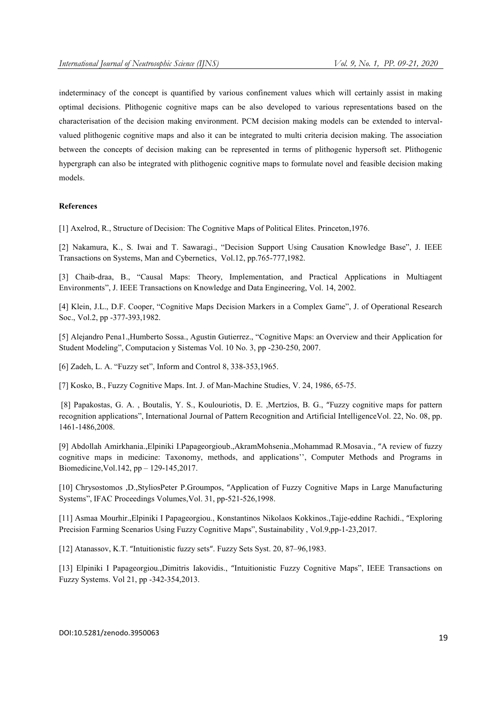indeterminacy of the concept is quantified by various confinement values which will certainly assist in making optimal decisions. Plithogenic cognitive maps can be also developed to various representations based on the characterisation of the decision making environment. PCM decision making models can be extended to intervalvalued plithogenic cognitive maps and also it can be integrated to multi criteria decision making. The association between the concepts of decision making can be represented in terms of plithogenic hypersoft set. Plithogenic hypergraph can also be integrated with plithogenic cognitive maps to formulate novel and feasible decision making models.

# References

[1] Axelrod, R., Structure of Decision: The Cognitive Maps of Political Elites. Princeton,1976.

[2] Nakamura, K., S. Iwai and T. Sawaragi., "Decision Support Using Causation Knowledge Base", J. IEEE Transactions on Systems, Man and Cybernetics, Vol.12, pp.765-777,1982.

[3] Chaib-draa, B., "Causal Maps: Theory, Implementation, and Practical Applications in Multiagent Environments", J. IEEE Transactions on Knowledge and Data Engineering, Vol. 14, 2002.

[4] Klein, J.L., D.F. Cooper, "Cognitive Maps Decision Markers in a Complex Game", J. of Operational Research Soc., Vol.2, pp -377-393,1982.

[5] Alejandro Pena1.,Humberto Sossa., Agustin Gutierrez., "Cognitive Maps: an Overview and their Application for Student Modeling", Computacion y Sistemas Vol. 10 No. 3, pp -230-250, 2007.

[6] Zadeh, L. A. "Fuzzy set", Inform and Control 8, 338-353,1965.

[7] Kosko, B., Fuzzy Cognitive Maps. Int. J. of Man-Machine Studies, V. 24, 1986, 65-75.

[8] Papakostas, G. A. , Boutalis, Y. S., Koulouriotis, D. E. ,Mertzios, B. G., "Fuzzy cognitive maps for pattern recognition applications", International Journal of Pattern Recognition and Artificial IntelligenceVol. 22, No. 08, pp. 1461-1486,2008.

[9] Abdollah Amirkhania.,Elpiniki I.Papageorgioub.,AkramMohsenia.,Mohammad R.Mosavia., "A review of fuzzy cognitive maps in medicine: Taxonomy, methods, and applications'', Computer Methods and Programs in Biomedicine,Vol.142, pp – 129-145,2017.

[10] Chrysostomos ,D.,StyliosPeter P.Groumpos, "Application of Fuzzy Cognitive Maps in Large Manufacturing Systems", IFAC Proceedings Volumes,Vol. 31, pp-521-526,1998.

[11] Asmaa Mourhir.,Elpiniki I Papageorgiou., Konstantinos Nikolaos Kokkinos.,Tajje-eddine Rachidi., "Exploring Precision Farming Scenarios Using Fuzzy Cognitive Maps", Sustainability , Vol.9,pp-1-23,2017.

[12] Atanassov, K.T. "Intuitionistic fuzzy sets". Fuzzy Sets Syst. 20, 87–96,1983.

[13] Elpiniki I Papageorgiou.,Dimitris Iakovidis., "Intuitionistic Fuzzy Cognitive Maps", IEEE Transactions on Fuzzy Systems. Vol 21, pp -342-354,2013.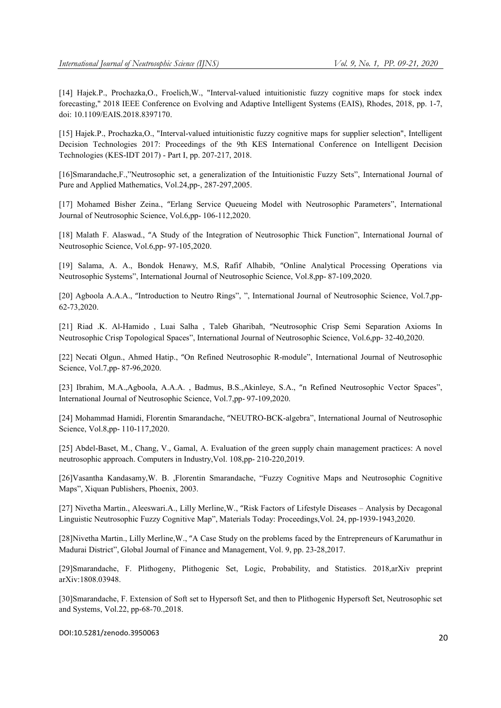[14] Hajek.P., Prochazka,O., Froelich,W., "Interval-valued intuitionistic fuzzy cognitive maps for stock index forecasting," 2018 IEEE Conference on Evolving and Adaptive Intelligent Systems (EAIS), Rhodes, 2018, pp. 1-7, doi: 10.1109/EAIS.2018.8397170.

[15] Hajek.P., Prochazka,O., "Interval-valued intuitionistic fuzzy cognitive maps for supplier selection", Intelligent Decision Technologies 2017: Proceedings of the 9th KES International Conference on Intelligent Decision Technologies (KES-IDT 2017) - Part I, pp. 207-217, 2018.

[16]Smarandache,F.,"Neutrosophic set, a generalization of the Intuitionistic Fuzzy Sets", International Journal of Pure and Applied Mathematics, Vol.24,pp-, 287-297,2005.

[17] Mohamed Bisher Zeina., "Erlang Service Queueing Model with Neutrosophic Parameters", International Journal of Neutrosophic Science, Vol.6,pp- 106-112,2020.

[18] Malath F. Alaswad., "A Study of the Integration of Neutrosophic Thick Function", International Journal of Neutrosophic Science, Vol.6,pp- 97-105,2020.

[19] Salama, A. A., Bondok Henawy, M.S, Rafif Alhabib, "Online Analytical Processing Operations via Neutrosophic Systems", International Journal of Neutrosophic Science, Vol.8,pp- 87-109,2020.

[20] Agboola A.A.A., "Introduction to Neutro Rings", ", International Journal of Neutrosophic Science, Vol.7,pp-62-73,2020.

[21] Riad .K. Al-Hamido , Luai Salha , Taleb Gharibah, "Neutrosophic Crisp Semi Separation Axioms In Neutrosophic Crisp Topological Spaces", International Journal of Neutrosophic Science, Vol.6,pp- 32-40,2020.

[22] Necati Olgun., Ahmed Hatip., "On Refined Neutrosophic R-module", International Journal of Neutrosophic Science, Vol.7,pp- 87-96,2020.

[23] Ibrahim, M.A.,Agboola, A.A.A. , Badmus, B.S.,Akinleye, S.A., "n Refined Neutrosophic Vector Spaces", International Journal of Neutrosophic Science, Vol.7,pp- 97-109,2020.

[24] Mohammad Hamidi, Florentin Smarandache, "NEUTRO-BCK-algebra", International Journal of Neutrosophic Science, Vol.8,pp- 110-117,2020.

[25] Abdel-Baset, M., Chang, V., Gamal, A. Evaluation of the green supply chain management practices: A novel neutrosophic approach. Computers in Industry,Vol. 108,pp- 210-220,2019.

[26]Vasantha Kandasamy,W. B. ,Florentin Smarandache, "Fuzzy Cognitive Maps and Neutrosophic Cognitive Maps", Xiquan Publishers, Phoenix, 2003.

[27] Nivetha Martin., Aleeswari.A., Lilly Merline,W., "Risk Factors of Lifestyle Diseases – Analysis by Decagonal Linguistic Neutrosophic Fuzzy Cognitive Map", Materials Today: Proceedings,Vol. 24, pp-1939-1943,2020.

[28]Nivetha Martin., Lilly Merline,W., "A Case Study on the problems faced by the Entrepreneurs of Karumathur in Madurai District", Global Journal of Finance and Management, Vol. 9, pp. 23-28,2017.

[29]Smarandache, F. Plithogeny, Plithogenic Set, Logic, Probability, and Statistics. 2018,arXiv preprint arXiv:1808.03948.

[30]Smarandache, F. Extension of Soft set to Hypersoft Set, and then to Plithogenic Hypersoft Set, Neutrosophic set and Systems, Vol.22, pp-68-70.,2018.

DOI:10.5281/zenodo.3950063 <sup>20</sup>